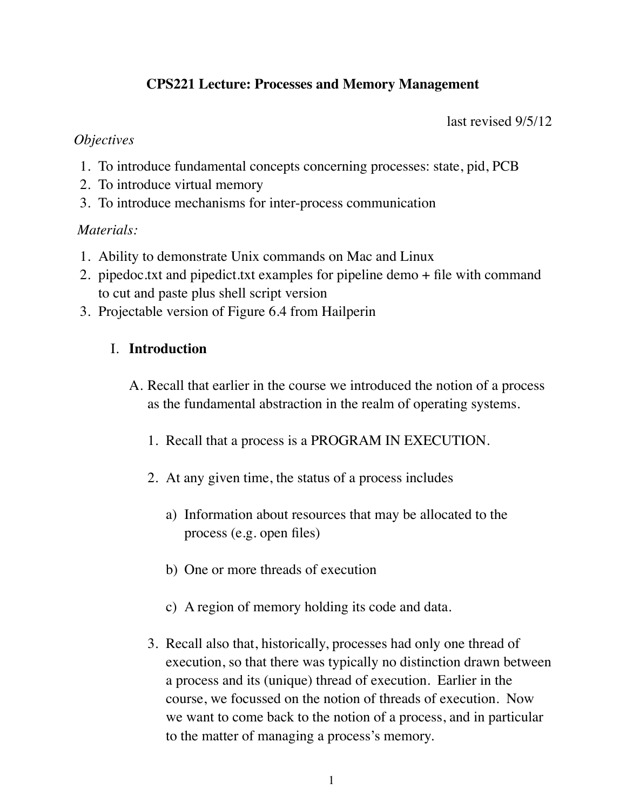# **CPS221 Lecture: Processes and Memory Management**

last revised 9/5/12

#### *Objectives*

- 1. To introduce fundamental concepts concerning processes: state, pid, PCB
- 2. To introduce virtual memory
- 3. To introduce mechanisms for inter-process communication

## *Materials:*

- 1. Ability to demonstrate Unix commands on Mac and Linux
- 2. pipedoc.txt and pipedict.txt examples for pipeline demo + file with command to cut and paste plus shell script version
- 3. Projectable version of Figure 6.4 from Hailperin

# I. **Introduction**

- A. Recall that earlier in the course we introduced the notion of a process as the fundamental abstraction in the realm of operating systems.
	- 1. Recall that a process is a PROGRAM IN EXECUTION.
	- 2. At any given time, the status of a process includes
		- a) Information about resources that may be allocated to the process (e.g. open files)
		- b) One or more threads of execution
		- c) A region of memory holding its code and data.
	- 3. Recall also that, historically, processes had only one thread of execution, so that there was typically no distinction drawn between a process and its (unique) thread of execution. Earlier in the course, we focussed on the notion of threads of execution. Now we want to come back to the notion of a process, and in particular to the matter of managing a process's memory.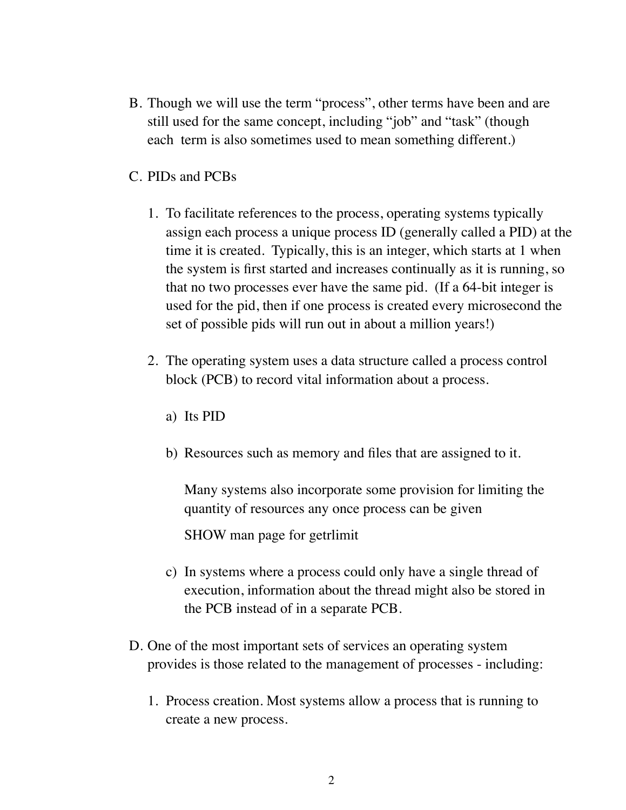- B. Though we will use the term "process", other terms have been and are still used for the same concept, including "job" and "task" (though each term is also sometimes used to mean something different.)
- C. PIDs and PCBs
	- 1. To facilitate references to the process, operating systems typically assign each process a unique process ID (generally called a PID) at the time it is created. Typically, this is an integer, which starts at 1 when the system is first started and increases continually as it is running, so that no two processes ever have the same pid. (If a 64-bit integer is used for the pid, then if one process is created every microsecond the set of possible pids will run out in about a million years!)
	- 2. The operating system uses a data structure called a process control block (PCB) to record vital information about a process.
		- a) Its PID
		- b) Resources such as memory and files that are assigned to it.

Many systems also incorporate some provision for limiting the quantity of resources any once process can be given

SHOW man page for getrlimit

- c) In systems where a process could only have a single thread of execution, information about the thread might also be stored in the PCB instead of in a separate PCB.
- D. One of the most important sets of services an operating system provides is those related to the management of processes - including:
	- 1. Process creation. Most systems allow a process that is running to create a new process.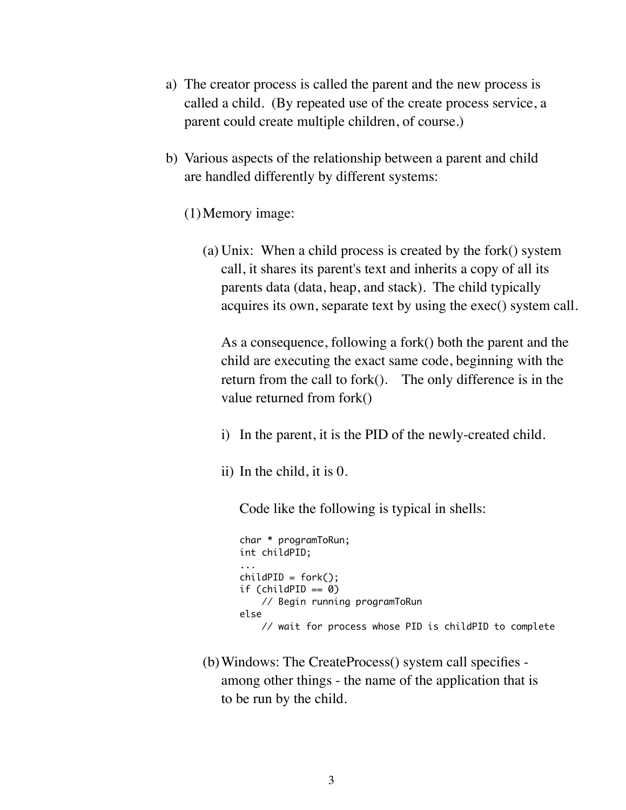- a) The creator process is called the parent and the new process is called a child. (By repeated use of the create process service, a parent could create multiple children, of course.)
- b) Various aspects of the relationship between a parent and child are handled differently by different systems:
	- (1)Memory image:
		- (a) Unix: When a child process is created by the fork() system call, it shares its parent's text and inherits a copy of all its parents data (data, heap, and stack). The child typically acquires its own, separate text by using the exec() system call.

As a consequence, following a fork() both the parent and the child are executing the exact same code, beginning with the return from the call to fork(). The only difference is in the value returned from fork()

- i) In the parent, it is the PID of the newly-created child.
- ii) In the child, it is 0.

Code like the following is typical in shells:

```
char * programToRun;
int childPID;
...
childPID = fork();
if (childPID == 0)
     // Begin running programToRun
else
     // wait for process whose PID is childPID to complete
```
(b)Windows: The CreateProcess() system call specifies among other things - the name of the application that is to be run by the child.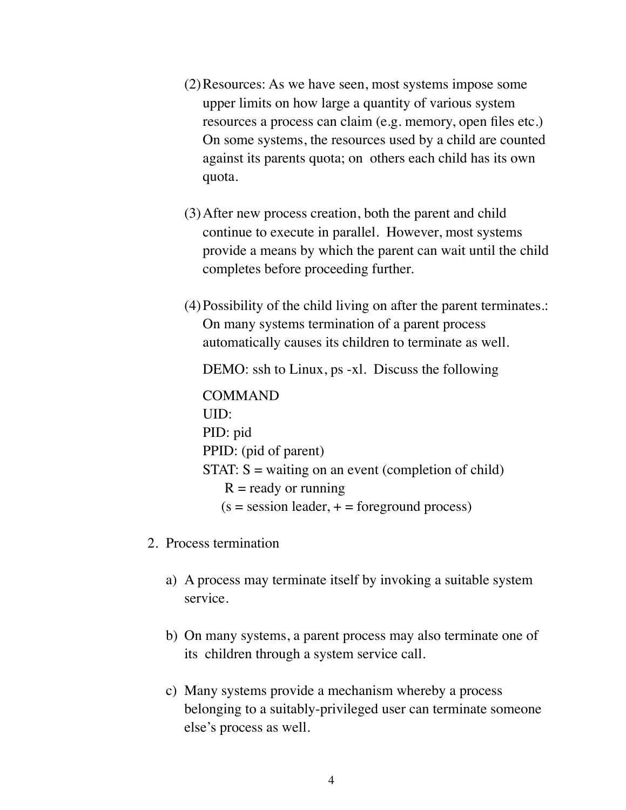- (2)Resources: As we have seen, most systems impose some upper limits on how large a quantity of various system resources a process can claim (e.g. memory, open files etc.) On some systems, the resources used by a child are counted against its parents quota; on others each child has its own quota.
- (3)After new process creation, both the parent and child continue to execute in parallel. However, most systems provide a means by which the parent can wait until the child completes before proceeding further.
- (4)Possibility of the child living on after the parent terminates.: On many systems termination of a parent process automatically causes its children to terminate as well.

DEMO: ssh to Linux, ps -xl. Discuss the following

COMMAND UID: PID: pid PPID: (pid of parent)  $STAT: S = waiting on an event (completion of child)$  $R =$  ready or running  $(s =$  session leader,  $+ =$  foreground process)

- 2. Process termination
	- a) A process may terminate itself by invoking a suitable system service.
	- b) On many systems, a parent process may also terminate one of its children through a system service call.
	- c) Many systems provide a mechanism whereby a process belonging to a suitably-privileged user can terminate someone else's process as well.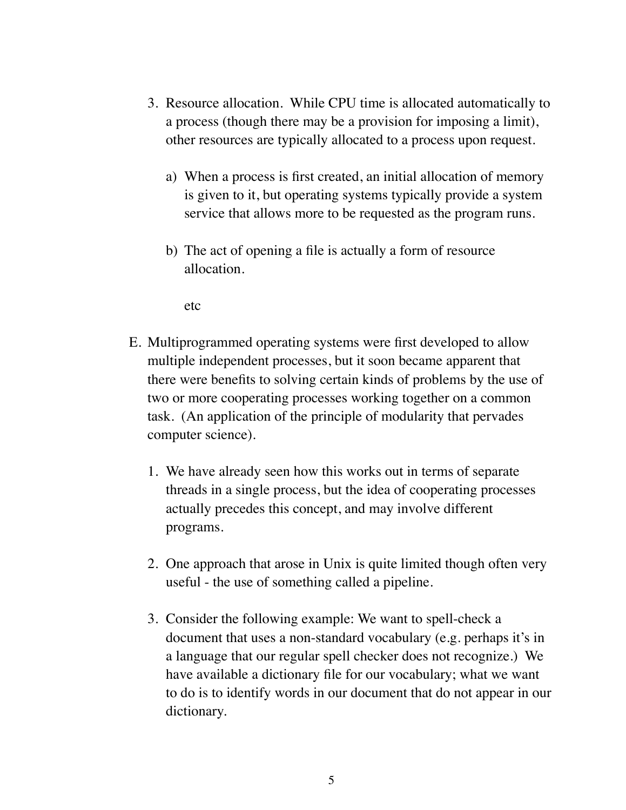- 3. Resource allocation. While CPU time is allocated automatically to a process (though there may be a provision for imposing a limit), other resources are typically allocated to a process upon request.
	- a) When a process is first created, an initial allocation of memory is given to it, but operating systems typically provide a system service that allows more to be requested as the program runs.
	- b) The act of opening a file is actually a form of resource allocation.

etc

- E. Multiprogrammed operating systems were first developed to allow multiple independent processes, but it soon became apparent that there were benefits to solving certain kinds of problems by the use of two or more cooperating processes working together on a common task. (An application of the principle of modularity that pervades computer science).
	- 1. We have already seen how this works out in terms of separate threads in a single process, but the idea of cooperating processes actually precedes this concept, and may involve different programs.
	- 2. One approach that arose in Unix is quite limited though often very useful - the use of something called a pipeline.
	- 3. Consider the following example: We want to spell-check a document that uses a non-standard vocabulary (e.g. perhaps it's in a language that our regular spell checker does not recognize.) We have available a dictionary file for our vocabulary; what we want to do is to identify words in our document that do not appear in our dictionary.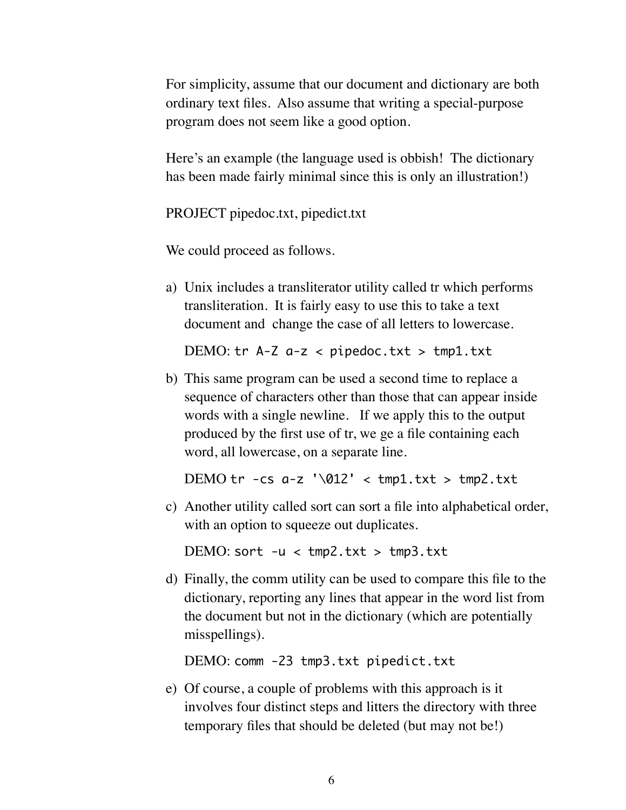For simplicity, assume that our document and dictionary are both ordinary text files. Also assume that writing a special-purpose program does not seem like a good option.

Here's an example (the language used is obbish! The dictionary has been made fairly minimal since this is only an illustration!)

PROJECT pipedoc.txt, pipedict.txt

We could proceed as follows.

a) Unix includes a transliterator utility called tr which performs transliteration. It is fairly easy to use this to take a text document and change the case of all letters to lowercase.

DEMO:  $tr$  A-Z  $a-z$  < pipedoc.txt >  $tmp1.txt$ 

b) This same program can be used a second time to replace a sequence of characters other than those that can appear inside words with a single newline. If we apply this to the output produced by the first use of tr, we ge a file containing each word, all lowercase, on a separate line.

DEMO  $tr -cs$   $a-z$  '\012' <  $tmp1.txt$  >  $tmp2.txt$ 

c) Another utility called sort can sort a file into alphabetical order, with an option to squeeze out duplicates.

DEMO: sort  $-u < \text{tmp2.txt} > \text{tmp3.txt}$ 

d) Finally, the comm utility can be used to compare this file to the dictionary, reporting any lines that appear in the word list from the document but not in the dictionary (which are potentially misspellings).

DEMO: comm -23 tmp3.txt pipedict.txt

e) Of course, a couple of problems with this approach is it involves four distinct steps and litters the directory with three temporary files that should be deleted (but may not be!)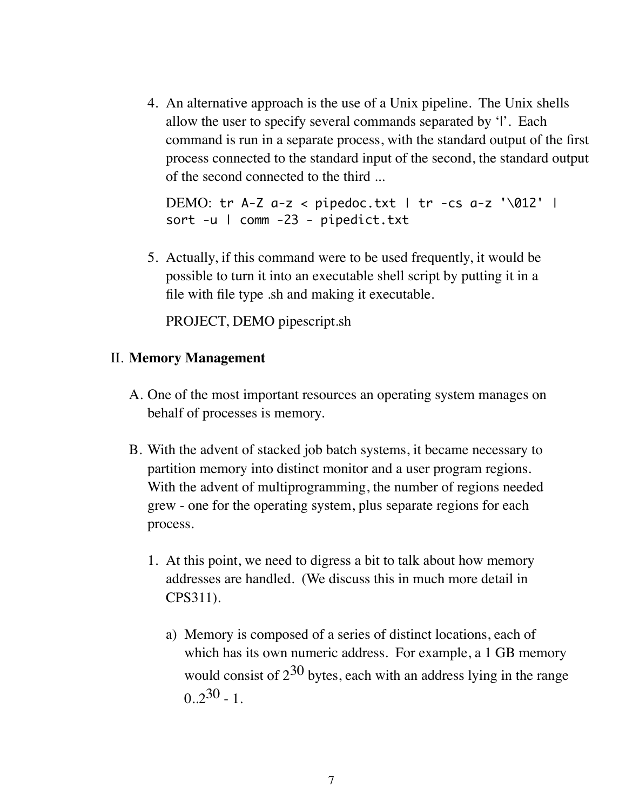4. An alternative approach is the use of a Unix pipeline. The Unix shells allow the user to specify several commands separated by '|'. Each command is run in a separate process, with the standard output of the first process connected to the standard input of the second, the standard output of the second connected to the third ...

```
DEMO: tr A-Z a-z < pipedoc.txt | tr -cs a-z '\012' |
sort -u | comm -23 - pipedict.txt
```
5. Actually, if this command were to be used frequently, it would be possible to turn it into an executable shell script by putting it in a file with file type .sh and making it executable.

PROJECT, DEMO pipescript.sh

## II. **Memory Management**

- A. One of the most important resources an operating system manages on behalf of processes is memory.
- B. With the advent of stacked job batch systems, it became necessary to partition memory into distinct monitor and a user program regions. With the advent of multiprogramming, the number of regions needed grew - one for the operating system, plus separate regions for each process.
	- 1. At this point, we need to digress a bit to talk about how memory addresses are handled. (We discuss this in much more detail in CPS311).
		- a) Memory is composed of a series of distinct locations, each of which has its own numeric address. For example, a 1 GB memory would consist of  $2^{30}$  bytes, each with an address lying in the range  $0.2^{30}$  - 1.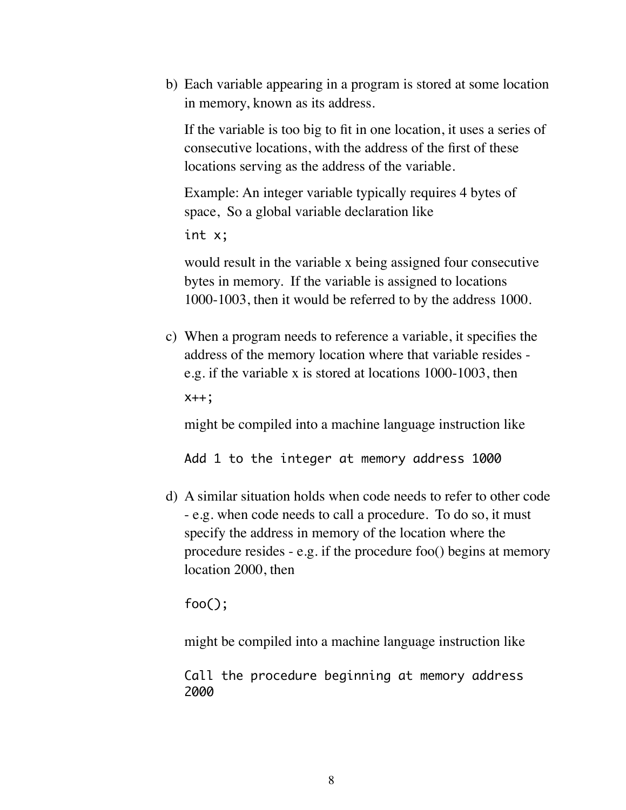b) Each variable appearing in a program is stored at some location in memory, known as its address.

If the variable is too big to fit in one location, it uses a series of consecutive locations, with the address of the first of these locations serving as the address of the variable.

Example: An integer variable typically requires 4 bytes of space, So a global variable declaration like

int x;

would result in the variable x being assigned four consecutive bytes in memory. If the variable is assigned to locations 1000-1003, then it would be referred to by the address 1000.

c) When a program needs to reference a variable, it specifies the address of the memory location where that variable resides e.g. if the variable x is stored at locations 1000-1003, then

x++;

might be compiled into a machine language instruction like

Add 1 to the integer at memory address 1000

d) A similar situation holds when code needs to refer to other code - e.g. when code needs to call a procedure. To do so, it must specify the address in memory of the location where the procedure resides - e.g. if the procedure foo() begins at memory location 2000, then

foo();

might be compiled into a machine language instruction like

Call the procedure beginning at memory address 2000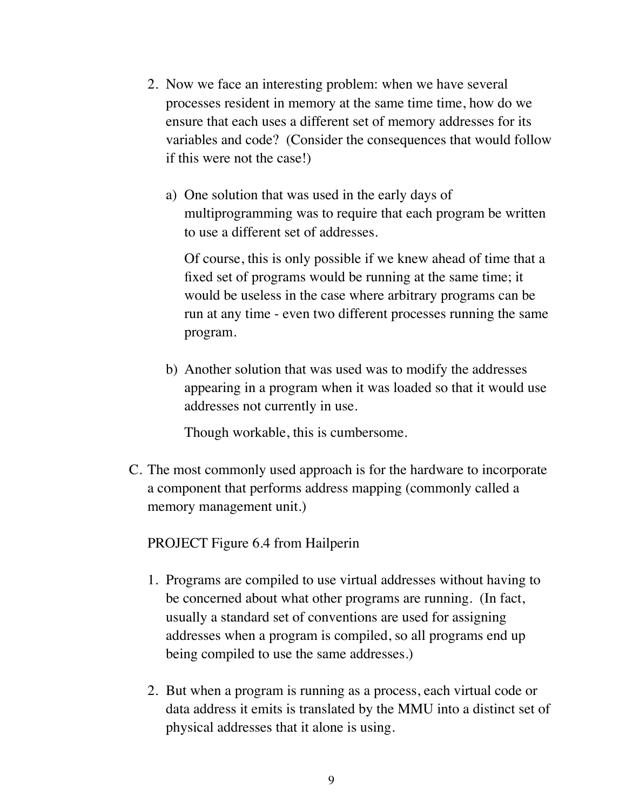- 2. Now we face an interesting problem: when we have several processes resident in memory at the same time time, how do we ensure that each uses a different set of memory addresses for its variables and code? (Consider the consequences that would follow if this were not the case!)
	- a) One solution that was used in the early days of multiprogramming was to require that each program be written to use a different set of addresses.

Of course, this is only possible if we knew ahead of time that a fixed set of programs would be running at the same time; it would be useless in the case where arbitrary programs can be run at any time - even two different processes running the same program.

b) Another solution that was used was to modify the addresses appearing in a program when it was loaded so that it would use addresses not currently in use.

Though workable, this is cumbersome.

C. The most commonly used approach is for the hardware to incorporate a component that performs address mapping (commonly called a memory management unit.)

## PROJECT Figure 6.4 from Hailperin

- 1. Programs are compiled to use virtual addresses without having to be concerned about what other programs are running. (In fact, usually a standard set of conventions are used for assigning addresses when a program is compiled, so all programs end up being compiled to use the same addresses.)
- 2. But when a program is running as a process, each virtual code or data address it emits is translated by the MMU into a distinct set of physical addresses that it alone is using.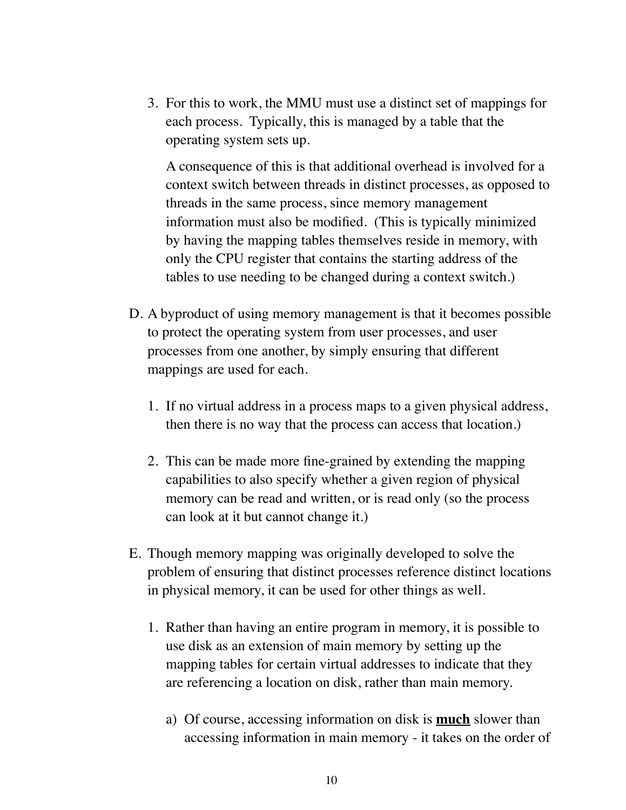3. For this to work, the MMU must use a distinct set of mappings for each process. Typically, this is managed by a table that the operating system sets up.

A consequence of this is that additional overhead is involved for a context switch between threads in distinct processes, as opposed to threads in the same process, since memory management information must also be modified. (This is typically minimized by having the mapping tables themselves reside in memory, with only the CPU register that contains the starting address of the tables to use needing to be changed during a context switch.)

- D. A byproduct of using memory management is that it becomes possible to protect the operating system from user processes, and user processes from one another, by simply ensuring that different mappings are used for each.
	- 1. If no virtual address in a process maps to a given physical address, then there is no way that the process can access that location.)
	- 2. This can be made more fine-grained by extending the mapping capabilities to also specify whether a given region of physical memory can be read and written, or is read only (so the process can look at it but cannot change it.)
- E. Though memory mapping was originally developed to solve the problem of ensuring that distinct processes reference distinct locations in physical memory, it can be used for other things as well.
	- 1. Rather than having an entire program in memory, it is possible to use disk as an extension of main memory by setting up the mapping tables for certain virtual addresses to indicate that they are referencing a location on disk, rather than main memory.
		- a) Of course, accessing information on disk is **much** slower than accessing information in main memory - it takes on the order of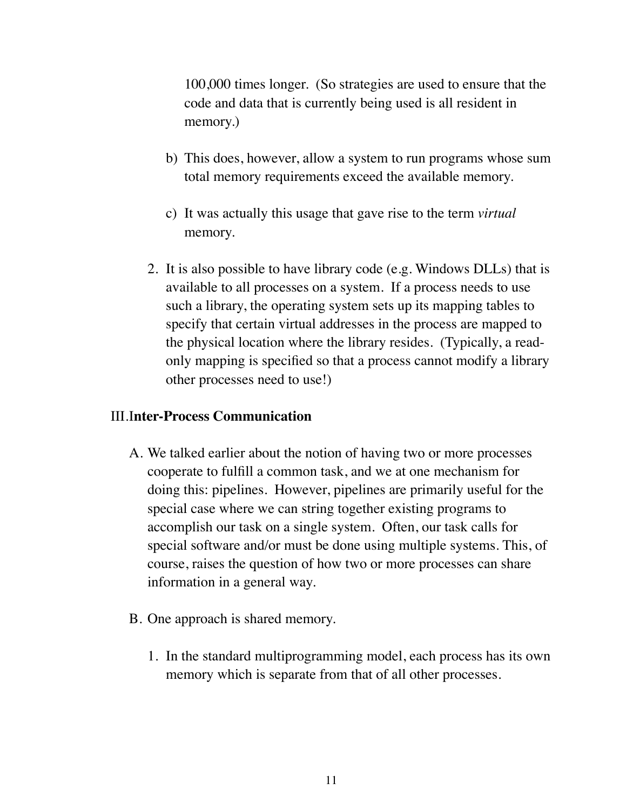100,000 times longer. (So strategies are used to ensure that the code and data that is currently being used is all resident in memory.)

- b) This does, however, allow a system to run programs whose sum total memory requirements exceed the available memory.
- c) It was actually this usage that gave rise to the term *virtual* memory.
- 2. It is also possible to have library code (e.g. Windows DLLs) that is available to all processes on a system. If a process needs to use such a library, the operating system sets up its mapping tables to specify that certain virtual addresses in the process are mapped to the physical location where the library resides. (Typically, a readonly mapping is specified so that a process cannot modify a library other processes need to use!)

#### III.I**nter-Process Communication**

- A. We talked earlier about the notion of having two or more processes cooperate to fulfill a common task, and we at one mechanism for doing this: pipelines. However, pipelines are primarily useful for the special case where we can string together existing programs to accomplish our task on a single system. Often, our task calls for special software and/or must be done using multiple systems. This, of course, raises the question of how two or more processes can share information in a general way.
- B. One approach is shared memory.
	- 1. In the standard multiprogramming model, each process has its own memory which is separate from that of all other processes.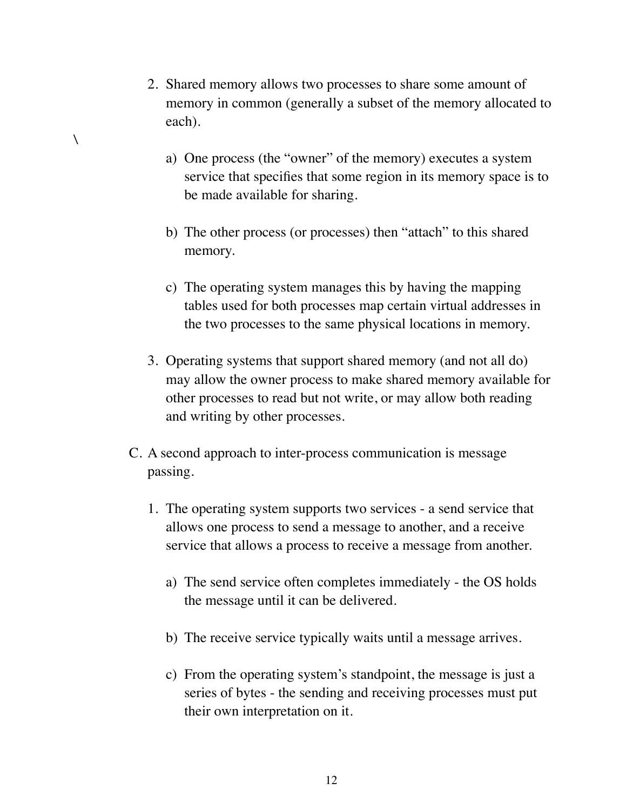2. Shared memory allows two processes to share some amount of memory in common (generally a subset of the memory allocated to each).

 $\overline{\phantom{0}}$ 

- a) One process (the "owner" of the memory) executes a system service that specifies that some region in its memory space is to be made available for sharing.
- b) The other process (or processes) then "attach" to this shared memory.
- c) The operating system manages this by having the mapping tables used for both processes map certain virtual addresses in the two processes to the same physical locations in memory.
- 3. Operating systems that support shared memory (and not all do) may allow the owner process to make shared memory available for other processes to read but not write, or may allow both reading and writing by other processes.
- C. A second approach to inter-process communication is message passing.
	- 1. The operating system supports two services a send service that allows one process to send a message to another, and a receive service that allows a process to receive a message from another.
		- a) The send service often completes immediately the OS holds the message until it can be delivered.
		- b) The receive service typically waits until a message arrives.
		- c) From the operating system's standpoint, the message is just a series of bytes - the sending and receiving processes must put their own interpretation on it.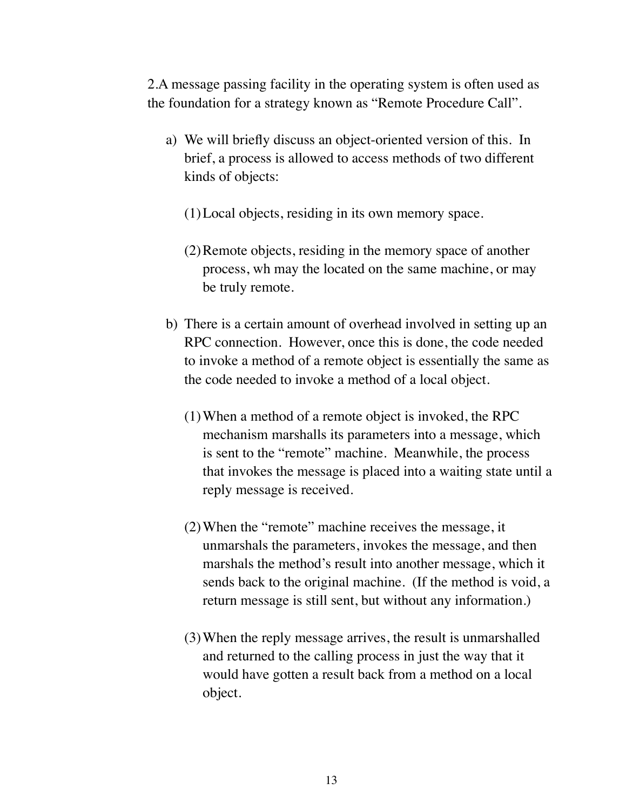2.A message passing facility in the operating system is often used as the foundation for a strategy known as "Remote Procedure Call".

- a) We will briefly discuss an object-oriented version of this. In brief, a process is allowed to access methods of two different kinds of objects:
	- (1)Local objects, residing in its own memory space.
	- (2)Remote objects, residing in the memory space of another process, wh may the located on the same machine, or may be truly remote.
- b) There is a certain amount of overhead involved in setting up an RPC connection. However, once this is done, the code needed to invoke a method of a remote object is essentially the same as the code needed to invoke a method of a local object.
	- (1)When a method of a remote object is invoked, the RPC mechanism marshalls its parameters into a message, which is sent to the "remote" machine. Meanwhile, the process that invokes the message is placed into a waiting state until a reply message is received.
	- (2)When the "remote" machine receives the message, it unmarshals the parameters, invokes the message, and then marshals the method's result into another message, which it sends back to the original machine. (If the method is void, a return message is still sent, but without any information.)
	- (3)When the reply message arrives, the result is unmarshalled and returned to the calling process in just the way that it would have gotten a result back from a method on a local object.